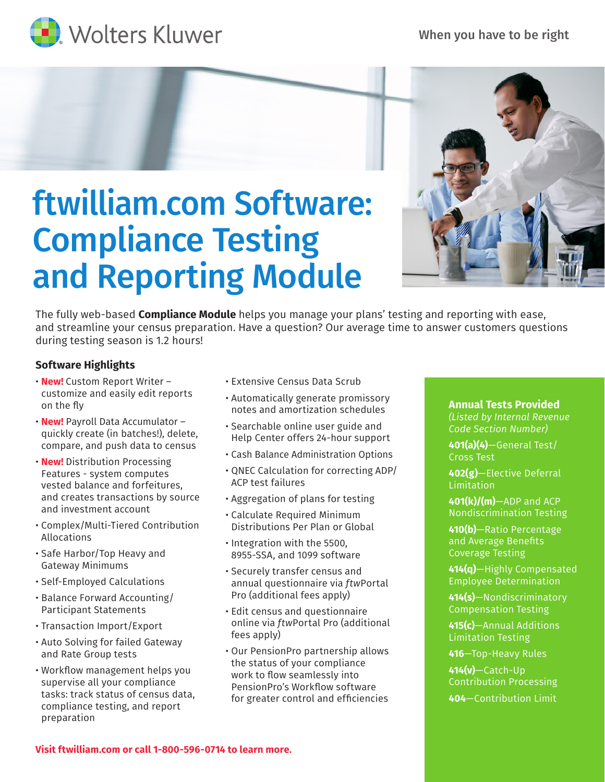When you have to be right







## ftwilliam.com Software: Compliance Testing and Reporting Module

The fully web-based **Compliance Module** helps you manage your plans' testing and reporting with ease, and streamline your census preparation. Have a question? Our average time to answer customers questions during testing season is 1.2 hours!

## **Software Highlights**

- **New!** Custom Report Writer customize and easily edit reports on the fly
- **New!** Payroll Data Accumulator quickly create (in batches!), delete, compare, and push data to census
- **New!** Distribution Processing Features - system computes vested balance and forfeitures, and creates transactions by source and investment account
- Complex/Multi-Tiered Contribution Allocations
- Safe Harbor/Top Heavy and Gateway Minimums
- Self-Employed Calculations
- Balance Forward Accounting/ Participant Statements
- Transaction Import/Export
- Auto Solving for failed Gateway and Rate Group tests
- Workflow management helps you supervise all your compliance tasks: track status of census data, compliance testing, and report preparation
- Extensive Census Data Scrub
- Automatically generate promissory notes and amortization schedules
- Searchable online user guide and Help Center offers 24-hour support
- Cash Balance Administration Options
- QNEC Calculation for correcting ADP/ ACP test failures
- Aggregation of plans for testing
- Calculate Required Minimum Distributions Per Plan or Global
- Integration with the 5500, 8955-SSA, and 1099 software
- Securely transfer census and annual questionnaire via *ftw*Portal Pro (additional fees apply)
- Edit census and questionnaire online via *ftw*Portal Pro (additional fees apply)
- Our PensionPro partnership allows the status of your compliance work to flow seamlessly into PensionPro's Workflow software for greater control and efficiencies

## **Annual Tests Provided** *(Listed by Internal Revenue Code Section Number)*

**401(a)(4)**—General Test/ Cross Test

**402(g)**—Elective Deferral Limitation

**401(k)/(m)**—ADP and ACP Nondiscrimination Testing

**410(b)**—Ratio Percentage and Average Benefits Coverage Testing

**414(q)**—Highly Compensated Employee Determination

**414(s)**—Nondiscriminatory Compensation Testing

**415(c)**—Annual Additions Limitation Testing

**416**—Top-Heavy Rules

**414(v)**—Catch-Up Contribution Processing

**404**—Contribution Limit